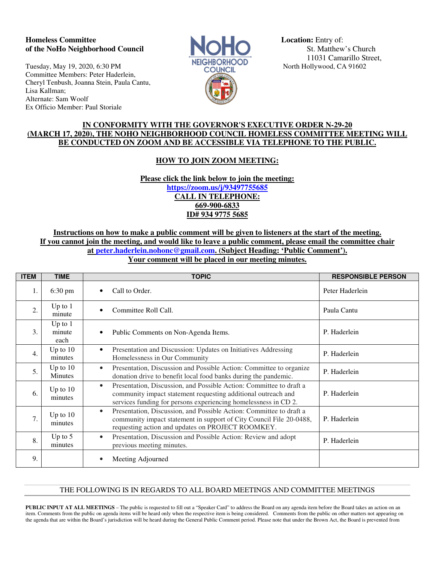## **Homeless Committee Location: Entry of: Location: Entry of: of the NoHo Neighborhood Council 1996 St. Matthew's Church** St. Matthew's Church

Tuesday, May 19, 2020, 6:30 PM **NEIGHBORHOOD** North Hollywood, CA 91602 Committee Members: Peter Haderlein, Cheryl Tenbush, Joanna Stein, Paula Cantu, Lisa Kallman; Alternate: Sam Woolf Ex Officio Member: Paul Storiale



11031 Camarillo Street,

## **IN CONFORMITY WITH THE GOVERNOR'S EXECUTIVE ORDER N-29-20 (MARCH 17, 2020), THE NOHO NEIGHBORHOOD COUNCIL HOMELESS COMMITTEE MEETING WILL BE CONDUCTED ON ZOOM AND BE ACCESSIBLE VIA TELEPHONE TO THE PUBLIC.**

# **HOW TO JOIN ZOOM MEETING:**

**Please click the link below to join the meeting: https://zoom.us/j/93497755685 CALL IN TELEPHONE: 669-900-6833 ID# 934 9775 5685** 

## **Instructions on how to make a public comment will be given to listeners at the start of the meeting. If you cannot join the meeting, and would like to leave a public comment, please email the committee chair at peter.haderlein.nohonc@gmail.com. (Subject Heading: 'Public Comment'). Your comment will be placed in our meeting minutes.**

| <b>ITEM</b>      | <b>TIME</b>                 | <b>TOPIC</b>                                                                                                                                                                                                         | <b>RESPONSIBLE PERSON</b> |
|------------------|-----------------------------|----------------------------------------------------------------------------------------------------------------------------------------------------------------------------------------------------------------------|---------------------------|
| 1.               | $6:30 \text{ pm}$           | Call to Order.                                                                                                                                                                                                       | Peter Haderlein           |
| $\overline{2}$ . | Up to $1$<br>minute         | Committee Roll Call.                                                                                                                                                                                                 | Paula Cantu               |
| 3.               | Up to $1$<br>minute<br>each | Public Comments on Non-Agenda Items.                                                                                                                                                                                 | P. Haderlein              |
| 4.               | Up to $10$<br>minutes       | Presentation and Discussion: Updates on Initiatives Addressing<br>$\bullet$<br>Homelessness in Our Community                                                                                                         | P. Haderlein              |
| 5.               | Up to $10$<br>Minutes       | Presentation, Discussion and Possible Action: Committee to organize<br>$\bullet$<br>donation drive to benefit local food banks during the pandemic.                                                                  | P. Haderlein              |
| 6.               | Up to $10$<br>minutes       | Presentation, Discussion, and Possible Action: Committee to draft a<br>$\bullet$<br>community impact statement requesting additional outreach and<br>services funding for persons experiencing homelessness in CD 2. | P. Haderlein              |
| 7.               | Up to $10$<br>minutes       | Presentation, Discussion, and Possible Action: Committee to draft a<br>$\bullet$<br>community impact statement in support of City Council File 20-0488,<br>requesting action and updates on PROJECT ROOMKEY.         | P. Haderlein              |
| 8.               | Up to $5$<br>minutes        | Presentation, Discussion and Possible Action: Review and adopt<br>$\bullet$<br>previous meeting minutes.                                                                                                             | P. Haderlein              |
| 9.               |                             | Meeting Adjourned                                                                                                                                                                                                    |                           |

#### THE FOLLOWING IS IN REGARDS TO ALL BOARD MEETINGS AND COMMITTEE MEETINGS

**PUBLIC INPUT AT ALL MEETINGS** – The public is requested to fill out a "Speaker Card" to address the Board on any agenda item before the Board takes an action on an item. Comments from the public on agenda items will be heard only when the respective item is being considered. Comments from the public on other matters not appearing on the agenda that are within the Board's jurisdiction will be heard during the General Public Comment period. Please note that under the Brown Act, the Board is prevented from